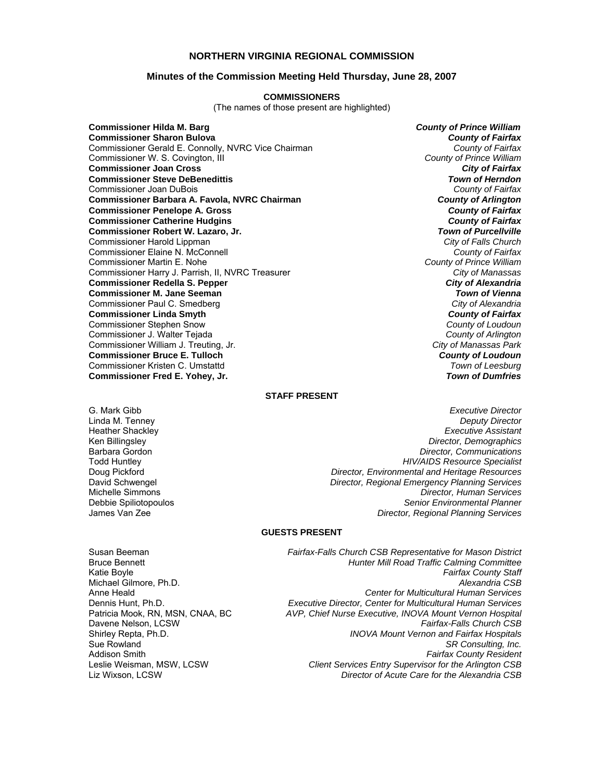### **NORTHERN VIRGINIA REGIONAL COMMISSION**

#### **Minutes of the Commission Meeting Held Thursday, June 28, 2007**

#### **COMMISSIONERS**

(The names of those present are highlighted)

**Commissioner Hilda M. Barg** *County of Prince William* **Commissioner Sharon Bulova** *County of Fairfax* Commissioner Gerald E. Connolly, NVRC Vice Chairman *County of Fairfax* Commissioner W. S. Covington, III *County of Prince William* **Commissioner Joan Cross** *City of Fairfax* **Commissioner Steve DeBenedittis** *Town of Herndon* Commissioner Joan DuBois *County of Fairfax* **Commissioner Barbara A. Favola, NVRC Chairman** *County of Arlington* **Commissioner Penelope A. Gross** *County of Fairfax* **Commissioner Catherine Hudgins** *County of Fairfax* **Commissioner Robert W. Lazaro, Jr.** Commissioner Harold Lippman *City of Falls Church* Commissioner Elaine N. McConnell *County of Fairfax* Commissioner Martin E. Nohe *County of Prince William* Commissioner Harry J. Parrish, II, NVRC Treasurer **Commissioner Redella S. Pepper** *City of Alexandria* **Commissioner M. Jane Seeman** *Town of Vienna* Commissioner Paul C. Smedberg *City of Alexandria* **Commissioner Linda Smyth** *County of Fairfax* Commissioner Stephen Snow *County of Loudoun* Commissioner J. Walter Tejada *County of Arlington* Commissioner William J. Treuting, Jr. **Commissioner Bruce E. Tulloch** *County of Loudoun* Commissioner Kristen C. Umstattd *Town of Leesburg* **Commissioner Fred E. Yohey, Jr.** 

#### **STAFF PRESENT**

- **Heather Shackley<br>Ken Billingslev**
- G. Mark Gibb *Executive Director* Linda M. Tenney *Deputy Director* Ken Billingsley *Director, Demographics* Barbara Gordon *Director, Communications* Todd Huntley *HIV/AIDS Resource Specialist* Doug Pickford *Director, Environmental and Heritage Resources* **Director, Regional Emergency Planning Services** Michelle Simmons *Director, Human Services* Debbie Spiliotopoulos *Senior Environmental Planner* James Van Zee *Director, Regional Planning Services*

#### **GUESTS PRESENT**

Susan Beeman *Fairfax-Falls Church CSB Representative for Mason District* Michael Gilmore, Ph.D.

Bruce Bennett *Hunter Mill Road Traffic Calming Committee* Katie Boyle *Fairfax County Staff* Anne Heald *Center for Multicultural Human Services* Dennis Hunt, Ph.D. *Executive Director, Center for Multicultural Human Services* Patricia Mook, RN, MSN, CNAA, BC *AVP, Chief Nurse Executive, INOVA Mount Vernon Hospital* Davene Nelson, LCSW *Fairfax-Falls Church CSB* **INOVA Mount Vernon and Fairfax Hospitals** Sue Rowland *SR Consulting, Inc.* Addison Smith *Fairfax County Resident* **Client Services Entry Supervisor for the Arlington CSB** Liz Wixson, LCSW *Director of Acute Care for the Alexandria CSB*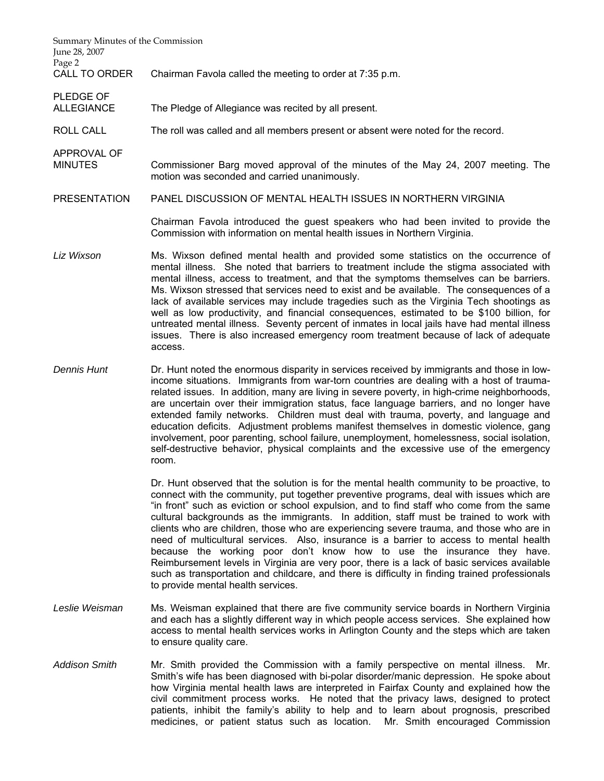| Summary Minutes of the Commission<br>June 28, 2007<br>Page 2 |                                                                                                                                                                                                                                                                                                                                                                                                                                                                                                                                                                                                                                                                                                                                                             |
|--------------------------------------------------------------|-------------------------------------------------------------------------------------------------------------------------------------------------------------------------------------------------------------------------------------------------------------------------------------------------------------------------------------------------------------------------------------------------------------------------------------------------------------------------------------------------------------------------------------------------------------------------------------------------------------------------------------------------------------------------------------------------------------------------------------------------------------|
| CALL TO ORDER                                                | Chairman Favola called the meeting to order at 7:35 p.m.                                                                                                                                                                                                                                                                                                                                                                                                                                                                                                                                                                                                                                                                                                    |
| <b>PLEDGE OF</b><br><b>ALLEGIANCE</b>                        | The Pledge of Allegiance was recited by all present.                                                                                                                                                                                                                                                                                                                                                                                                                                                                                                                                                                                                                                                                                                        |
| <b>ROLL CALL</b>                                             | The roll was called and all members present or absent were noted for the record.                                                                                                                                                                                                                                                                                                                                                                                                                                                                                                                                                                                                                                                                            |
| APPROVAL OF<br><b>MINUTES</b>                                | Commissioner Barg moved approval of the minutes of the May 24, 2007 meeting. The<br>motion was seconded and carried unanimously.                                                                                                                                                                                                                                                                                                                                                                                                                                                                                                                                                                                                                            |
| <b>PRESENTATION</b>                                          | PANEL DISCUSSION OF MENTAL HEALTH ISSUES IN NORTHERN VIRGINIA                                                                                                                                                                                                                                                                                                                                                                                                                                                                                                                                                                                                                                                                                               |
|                                                              | Chairman Favola introduced the guest speakers who had been invited to provide the<br>Commission with information on mental health issues in Northern Virginia.                                                                                                                                                                                                                                                                                                                                                                                                                                                                                                                                                                                              |
| Liz Wixson                                                   | Ms. Wixson defined mental health and provided some statistics on the occurrence of<br>mental illness. She noted that barriers to treatment include the stigma associated with<br>mental illness, access to treatment, and that the symptoms themselves can be barriers.<br>Ms. Wixson stressed that services need to exist and be available. The consequences of a<br>lack of available services may include tragedies such as the Virginia Tech shootings as<br>well as low productivity, and financial consequences, estimated to be \$100 billion, for<br>untreated mental illness. Seventy percent of inmates in local jails have had mental illness<br>issues. There is also increased emergency room treatment because of lack of adequate<br>access. |
| Dennis Hunt                                                  | Dr. Hunt noted the enormous disparity in services received by immigrants and those in low-<br>income situations. Immigrants from war-torn countries are dealing with a host of trauma-<br>related issues. In addition, many are living in severe poverty, in high-crime neighborhoods,<br>are uncertain over their immigration status, face language barriers, and no longer have<br>the distribution of the distribution of the control of the former of the state of the control of the control of                                                                                                                                                                                                                                                        |

extended family networks. Children must deal with trauma, poverty, and language and education deficits. Adjustment problems manifest themselves in domestic violence, gang involvement, poor parenting, school failure, unemployment, homelessness, social isolation, self-destructive behavior, physical complaints and the excessive use of the emergency room.

 Dr. Hunt observed that the solution is for the mental health community to be proactive, to connect with the community, put together preventive programs, deal with issues which are "in front" such as eviction or school expulsion, and to find staff who come from the same cultural backgrounds as the immigrants. In addition, staff must be trained to work with clients who are children, those who are experiencing severe trauma, and those who are in need of multicultural services. Also, insurance is a barrier to access to mental health because the working poor don't know how to use the insurance they have. Reimbursement levels in Virginia are very poor, there is a lack of basic services available such as transportation and childcare, and there is difficulty in finding trained professionals to provide mental health services.

- *Leslie Weisman* Ms. Weisman explained that there are five community service boards in Northern Virginia and each has a slightly different way in which people access services. She explained how access to mental health services works in Arlington County and the steps which are taken to ensure quality care.
- *Addison Smith* Mr. Smith provided the Commission with a family perspective on mental illness. Mr. Smith's wife has been diagnosed with bi-polar disorder/manic depression. He spoke about how Virginia mental health laws are interpreted in Fairfax County and explained how the civil commitment process works. He noted that the privacy laws, designed to protect patients, inhibit the family's ability to help and to learn about prognosis, prescribed medicines, or patient status such as location. Mr. Smith encouraged Commission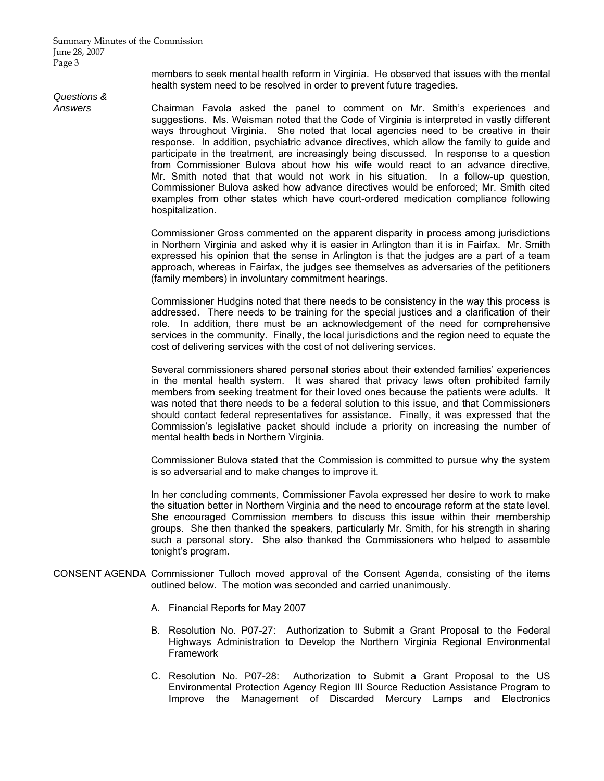members to seek mental health reform in Virginia. He observed that issues with the mental health system need to be resolved in order to prevent future tragedies.

# *Questions &*

*Answers* Chairman Favola asked the panel to comment on Mr. Smith's experiences and suggestions. Ms. Weisman noted that the Code of Virginia is interpreted in vastly different ways throughout Virginia. She noted that local agencies need to be creative in their response. In addition, psychiatric advance directives, which allow the family to guide and participate in the treatment, are increasingly being discussed. In response to a question from Commissioner Bulova about how his wife would react to an advance directive, Mr. Smith noted that that would not work in his situation. In a follow-up question, Commissioner Bulova asked how advance directives would be enforced; Mr. Smith cited examples from other states which have court-ordered medication compliance following hospitalization.

> Commissioner Gross commented on the apparent disparity in process among jurisdictions in Northern Virginia and asked why it is easier in Arlington than it is in Fairfax. Mr. Smith expressed his opinion that the sense in Arlington is that the judges are a part of a team approach, whereas in Fairfax, the judges see themselves as adversaries of the petitioners (family members) in involuntary commitment hearings.

> Commissioner Hudgins noted that there needs to be consistency in the way this process is addressed. There needs to be training for the special justices and a clarification of their role. In addition, there must be an acknowledgement of the need for comprehensive services in the community. Finally, the local jurisdictions and the region need to equate the cost of delivering services with the cost of not delivering services.

> Several commissioners shared personal stories about their extended families' experiences in the mental health system. It was shared that privacy laws often prohibited family members from seeking treatment for their loved ones because the patients were adults. It was noted that there needs to be a federal solution to this issue, and that Commissioners should contact federal representatives for assistance. Finally, it was expressed that the Commission's legislative packet should include a priority on increasing the number of mental health beds in Northern Virginia.

> Commissioner Bulova stated that the Commission is committed to pursue why the system is so adversarial and to make changes to improve it.

> In her concluding comments, Commissioner Favola expressed her desire to work to make the situation better in Northern Virginia and the need to encourage reform at the state level. She encouraged Commission members to discuss this issue within their membership groups. She then thanked the speakers, particularly Mr. Smith, for his strength in sharing such a personal story. She also thanked the Commissioners who helped to assemble tonight's program.

- CONSENT AGENDA Commissioner Tulloch moved approval of the Consent Agenda, consisting of the items outlined below. The motion was seconded and carried unanimously.
	- A. Financial Reports for May 2007
	- B. Resolution No. P07-27: Authorization to Submit a Grant Proposal to the Federal Highways Administration to Develop the Northern Virginia Regional Environmental Framework
	- C. Resolution No. P07-28: Authorization to Submit a Grant Proposal to the US Environmental Protection Agency Region III Source Reduction Assistance Program to Improve the Management of Discarded Mercury Lamps and Electronics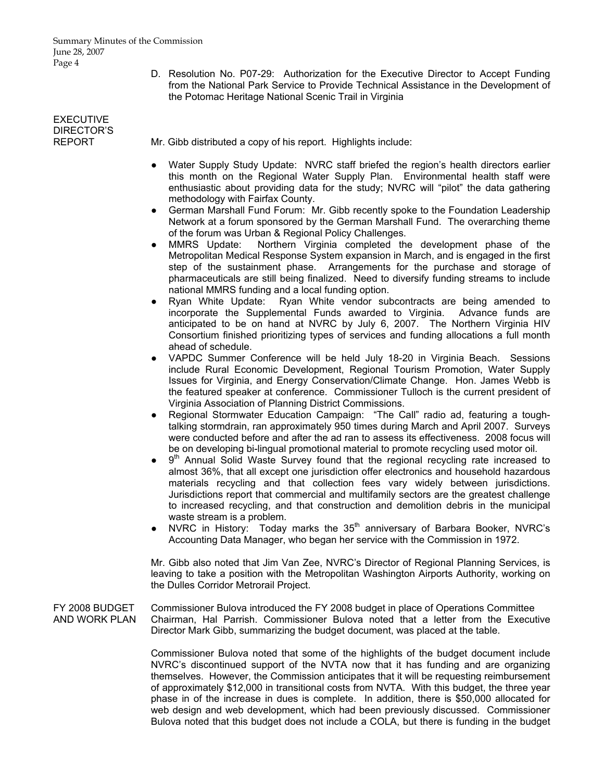D. Resolution No. P07-29: Authorization for the Executive Director to Accept Funding from the National Park Service to Provide Technical Assistance in the Development of the Potomac Heritage National Scenic Trail in Virginia

## **EXECUTIVE** DIRECTOR'S<br>REPORT

Mr. Gibb distributed a copy of his report. Highlights include:

- Water Supply Study Update: NVRC staff briefed the region's health directors earlier this month on the Regional Water Supply Plan. Environmental health staff were enthusiastic about providing data for the study; NVRC will "pilot" the data gathering methodology with Fairfax County.
- German Marshall Fund Forum: Mr. Gibb recently spoke to the Foundation Leadership Network at a forum sponsored by the German Marshall Fund. The overarching theme of the forum was Urban & Regional Policy Challenges.
- MMRS Update: Northern Virginia completed the development phase of the Metropolitan Medical Response System expansion in March, and is engaged in the first step of the sustainment phase. Arrangements for the purchase and storage of pharmaceuticals are still being finalized. Need to diversify funding streams to include national MMRS funding and a local funding option.
- Ryan White Update: Ryan White vendor subcontracts are being amended to incorporate the Supplemental Funds awarded to Virginia. Advance funds are anticipated to be on hand at NVRC by July 6, 2007. The Northern Virginia HIV Consortium finished prioritizing types of services and funding allocations a full month ahead of schedule.
- VAPDC Summer Conference will be held July 18-20 in Virginia Beach. Sessions include Rural Economic Development, Regional Tourism Promotion, Water Supply Issues for Virginia, and Energy Conservation/Climate Change. Hon. James Webb is the featured speaker at conference. Commissioner Tulloch is the current president of Virginia Association of Planning District Commissions.
- Regional Stormwater Education Campaign: "The Call" radio ad, featuring a toughtalking stormdrain, ran approximately 950 times during March and April 2007. Surveys were conducted before and after the ad ran to assess its effectiveness. 2008 focus will be on developing bi-lingual promotional material to promote recycling used motor oil.
- $9<sup>th</sup>$  Annual Solid Waste Survey found that the regional recycling rate increased to almost 36%, that all except one jurisdiction offer electronics and household hazardous materials recycling and that collection fees vary widely between jurisdictions. Jurisdictions report that commercial and multifamily sectors are the greatest challenge to increased recycling, and that construction and demolition debris in the municipal waste stream is a problem.
- NVRC in History: Today marks the 35<sup>th</sup> anniversary of Barbara Booker, NVRC's Accounting Data Manager, who began her service with the Commission in 1972.

 Mr. Gibb also noted that Jim Van Zee, NVRC's Director of Regional Planning Services, is leaving to take a position with the Metropolitan Washington Airports Authority, working on the Dulles Corridor Metrorail Project.

FY 2008 BUDGET Commissioner Bulova introduced the FY 2008 budget in place of Operations Committee AND WORK PLAN Chairman, Hal Parrish. Commissioner Bulova noted that a letter from the Executive Director Mark Gibb, summarizing the budget document, was placed at the table.

> Commissioner Bulova noted that some of the highlights of the budget document include NVRC's discontinued support of the NVTA now that it has funding and are organizing themselves. However, the Commission anticipates that it will be requesting reimbursement of approximately \$12,000 in transitional costs from NVTA. With this budget, the three year phase in of the increase in dues is complete. In addition, there is \$50,000 allocated for web design and web development, which had been previously discussed. Commissioner Bulova noted that this budget does not include a COLA, but there is funding in the budget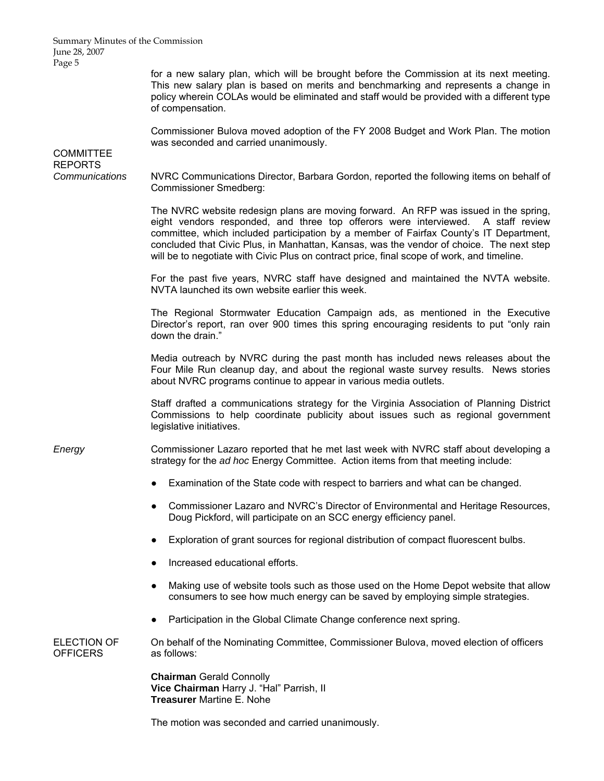Summary Minutes of the Commission June 28, 2007 Page 5

> for a new salary plan, which will be brought before the Commission at its next meeting. This new salary plan is based on merits and benchmarking and represents a change in policy wherein COLAs would be eliminated and staff would be provided with a different type of compensation.

> Commissioner Bulova moved adoption of the FY 2008 Budget and Work Plan. The motion was seconded and carried unanimously.

**COMMITTEE** REPORTS *Communications* NVRC Communications Director, Barbara Gordon, reported the following items on behalf of Commissioner Smedberg: The NVRC website redesign plans are moving forward. An RFP was issued in the spring, eight vendors responded, and three top offerors were interviewed. A staff review committee, which included participation by a member of Fairfax County's IT Department, concluded that Civic Plus, in Manhattan, Kansas, was the vendor of choice. The next step will be to negotiate with Civic Plus on contract price, final scope of work, and timeline. For the past five years, NVRC staff have designed and maintained the NVTA website. NVTA launched its own website earlier this week. The Regional Stormwater Education Campaign ads, as mentioned in the Executive Director's report, ran over 900 times this spring encouraging residents to put "only rain down the drain." Media outreach by NVRC during the past month has included news releases about the Four Mile Run cleanup day, and about the regional waste survey results. News stories about NVRC programs continue to appear in various media outlets. Staff drafted a communications strategy for the Virginia Association of Planning District Commissions to help coordinate publicity about issues such as regional government legislative initiatives. *Energy* Commissioner Lazaro reported that he met last week with NVRC staff about developing a strategy for the *ad hoc* Energy Committee. Action items from that meeting include: ● Examination of the State code with respect to barriers and what can be changed. ● Commissioner Lazaro and NVRC's Director of Environmental and Heritage Resources, Doug Pickford, will participate on an SCC energy efficiency panel. ● Exploration of grant sources for regional distribution of compact fluorescent bulbs. Increased educational efforts. Making use of website tools such as those used on the Home Depot website that allow consumers to see how much energy can be saved by employing simple strategies. Participation in the Global Climate Change conference next spring. ELECTION OF On behalf of the Nominating Committee, Commissioner Bulova, moved election of officers OFFICERS as follows: **Chairman** Gerald Connolly **Vice Chairman** Harry J. "Hal" Parrish, II **Treasurer** Martine E. Nohe

The motion was seconded and carried unanimously.